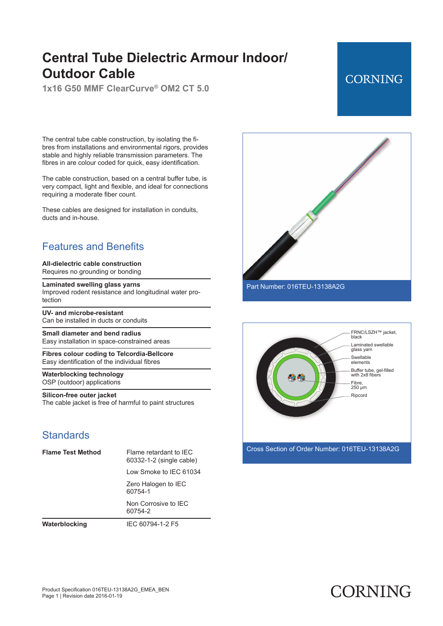**1x16 G50 MMF ClearCurve® OM2 CT 5.0**

### **CORNING**

The central tube cable construction, by isolating the fibres from installations and environmental rigors, provides stable and highly reliable transmission parameters. The fibres in are colour coded for quick, easy identification.

The cable construction, based on a central buffer tube, is very compact, light and flexible, and ideal for connections requiring a moderate fiber count.

These cables are designed for installation in conduits, ducts and in-house.

#### Features and Benefits

**All-dielectric cable construction** Requires no grounding or bonding

**Laminated swelling glass yarns** Improved rodent resistance and longitudinal water protection

**UV- and microbe-resistant** Can be installed in ducts or conduits

**Small diameter and bend radius** Easy installation in space-constrained areas

**Fibres colour coding to Telcordia-Bellcore** Easy identification of the individual fibres

**Waterblocking technology** OSP (outdoor) applications

**Silicon-free outer jacket** The cable jacket is free of harmful to paint structures

#### **Standards**

| <b>Flame Test Method</b> | Flame retardant to IFC<br>60332-1-2 (single cable) |
|--------------------------|----------------------------------------------------|
|                          | I ow Smoke to IEC 61034                            |
|                          | Zero Halogen to IEC<br>60754-1                     |
|                          | Non Corrosive to IEC<br>60754-2                    |
| Waterblocking            | IEC 60794-1-2 F5                                   |





# **CORNING**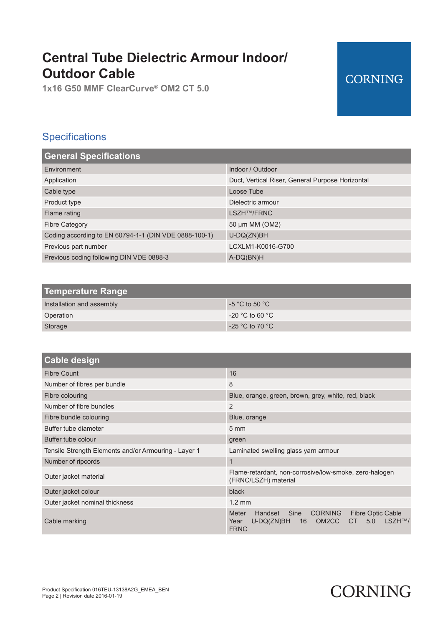**1x16 G50 MMF ClearCurve® OM2 CT 5.0**

## **CORNING**

### **Specifications**

| <b>General Specifications</b>                         |                                                  |  |
|-------------------------------------------------------|--------------------------------------------------|--|
| <b>Fnvironment</b>                                    | Indoor / Outdoor                                 |  |
| Application                                           | Duct, Vertical Riser, General Purpose Horizontal |  |
| Cable type                                            | Loose Tube                                       |  |
| Product type                                          | Dielectric armour                                |  |
| Flame rating                                          | <b>LSZH™/FRNC</b>                                |  |
| <b>Fibre Category</b>                                 | 50 µm MM (OM2)                                   |  |
| Coding according to EN 60794-1-1 (DIN VDE 0888-100-1) | U-DQ(ZN)BH                                       |  |
| Previous part number                                  | LCXLM1-K0016-G700                                |  |
| Previous coding following DIN VDE 0888-3              | A-DQ(BN)H                                        |  |

| Temperature Range         |                                                       |
|---------------------------|-------------------------------------------------------|
| Installation and assembly | $-5$ °C to 50 °C                                      |
| Operation                 | $\degree$ -20 $\degree$ C to 60 $\degree$ C $\degree$ |
| Storage                   | -25 °C to 70 °C                                       |

| <b>Cable design</b>                                  |                                                                                                                                                                                  |
|------------------------------------------------------|----------------------------------------------------------------------------------------------------------------------------------------------------------------------------------|
| <b>Fibre Count</b>                                   | 16                                                                                                                                                                               |
| Number of fibres per bundle                          | 8                                                                                                                                                                                |
| Fibre colouring                                      | Blue, orange, green, brown, grey, white, red, black                                                                                                                              |
| Number of fibre bundles                              | 2                                                                                                                                                                                |
| Fibre bundle colouring                               | Blue, orange                                                                                                                                                                     |
| Buffer tube diameter                                 | $5 \text{ mm}$                                                                                                                                                                   |
| Buffer tube colour                                   | green                                                                                                                                                                            |
| Tensile Strength Elements and/or Armouring - Layer 1 | Laminated swelling glass yarn armour                                                                                                                                             |
| Number of ripcords                                   | $\mathbf{1}$                                                                                                                                                                     |
| Outer jacket material                                | Flame-retardant, non-corrosive/low-smoke, zero-halogen<br>(FRNC/LSZH) material                                                                                                   |
| Outer jacket colour                                  | black                                                                                                                                                                            |
| Outer jacket nominal thickness                       | $1.2 \text{ mm}$                                                                                                                                                                 |
| Cable marking                                        | <b>Meter</b><br><b>Sine</b><br><b>CORNING</b><br>Handset<br><b>Fibre Optic Cable</b><br>OM <sub>2</sub> CC<br>$U$ -DQ(ZN)BH<br>16<br>5.0<br>Year<br>CT<br>I SZH™/<br><b>FRNC</b> |

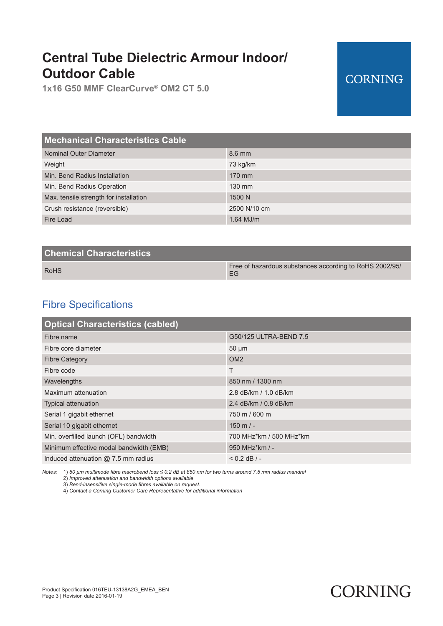**1x16 G50 MMF ClearCurve® OM2 CT 5.0**

### **CORNING**

**CORNING** 

| <b>Mechanical Characteristics Cable</b> |              |  |
|-----------------------------------------|--------------|--|
| Nominal Outer Diameter                  | 8.6 mm       |  |
| Weight                                  | 73 kg/km     |  |
| Min. Bend Radius Installation           | 170 mm       |  |
| Min. Bend Radius Operation              | 130 mm       |  |
| Max. tensile strength for installation  | 1500 N       |  |
| Crush resistance (reversible)           | 2500 N/10 cm |  |
| Fire Load                               | $1.64$ MJ/m  |  |

| <b>Chemical Characteristics</b> |                                                               |
|---------------------------------|---------------------------------------------------------------|
| <b>RoHS</b>                     | Free of hazardous substances according to RoHS 2002/95/<br>FG |

### Fibre Specifications

| <b>Optical Characteristics (cabled)</b> |                         |  |
|-----------------------------------------|-------------------------|--|
| Fibre name                              | G50/125 ULTRA-BEND 7.5  |  |
| Fibre core diameter                     | $50 \mu m$              |  |
| <b>Fibre Category</b>                   | OM <sub>2</sub>         |  |
| Fibre code                              | T                       |  |
| Wavelengths                             | 850 nm / 1300 nm        |  |
| Maximum attenuation                     | 2.8 dB/km / 1.0 dB/km   |  |
| <b>Typical attenuation</b>              | 2.4 dB/km / 0.8 dB/km   |  |
| Serial 1 gigabit ethernet               | 750 m / 600 m           |  |
| Serial 10 gigabit ethernet              | $150 \text{ m}$ / -     |  |
| Min. overfilled launch (OFL) bandwidth  | 700 MHz*km / 500 MHz*km |  |
| Minimum effective modal bandwidth (EMB) | 950 MHz*km / -          |  |
| Induced attenuation $@$ 7.5 mm radius   | $< 0.2$ dB $/ -$        |  |

*Notes:* 1) *50 μm multimode fibre macrobend loss ≤ 0.2 dB at 850 nm for two turns around 7.5 mm radius mandrel* 2) *Improved attenuation and bandwidth options available*

3) *Bend-insensitive single-mode fibres available on request.*

4) *Contact a Corning Customer Care Representative for additional information*